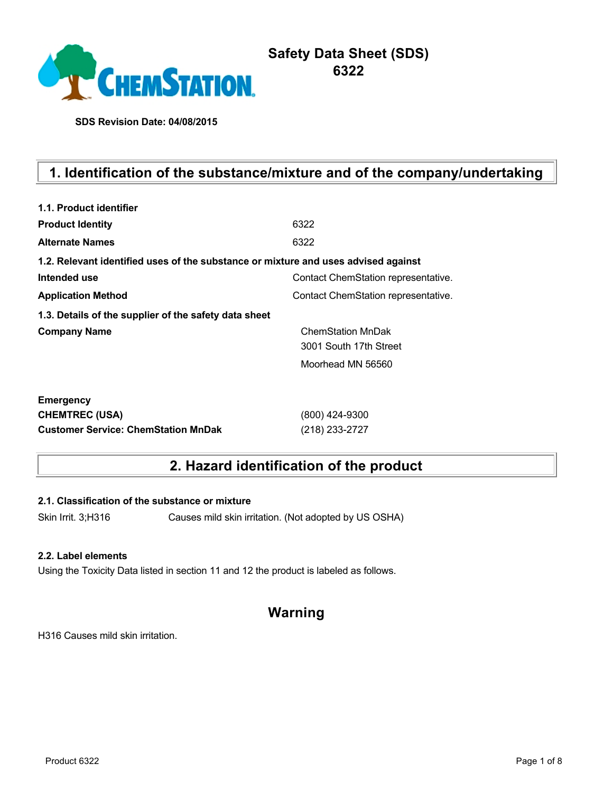

# **Safety Data Sheet (SDS) 6322**

**SDS Revision Date: 04/08/2015**

# **1. Identification of the substance/mixture and of the company/undertaking**

| 1.1. Product identifier                                                            |                                     |
|------------------------------------------------------------------------------------|-------------------------------------|
| <b>Product Identity</b>                                                            | 6322                                |
| <b>Alternate Names</b>                                                             | 6322                                |
| 1.2. Relevant identified uses of the substance or mixture and uses advised against |                                     |
| Intended use                                                                       | Contact ChemStation representative. |
| <b>Application Method</b>                                                          | Contact ChemStation representative. |
| 1.3. Details of the supplier of the safety data sheet                              |                                     |
| <b>Company Name</b>                                                                | <b>ChemStation MnDak</b>            |
|                                                                                    | 3001 South 17th Street              |
|                                                                                    | Moorhead MN 56560                   |
| <b>Emergency</b>                                                                   |                                     |
| <b>CHEMTREC (USA)</b>                                                              | (800) 424-9300                      |
| <b>Customer Service: ChemStation MnDak</b>                                         | (218) 233-2727                      |

# **2. Hazard identification of the product**

**2.1. Classification of the substance or mixture**

Skin Irrit. 3;H316 Causes mild skin irritation. (Not adopted by US OSHA)

### **2.2. Label elements**

Using the Toxicity Data listed in section 11 and 12 the product is labeled as follows.

# **Warning**

H316 Causes mild skin irritation.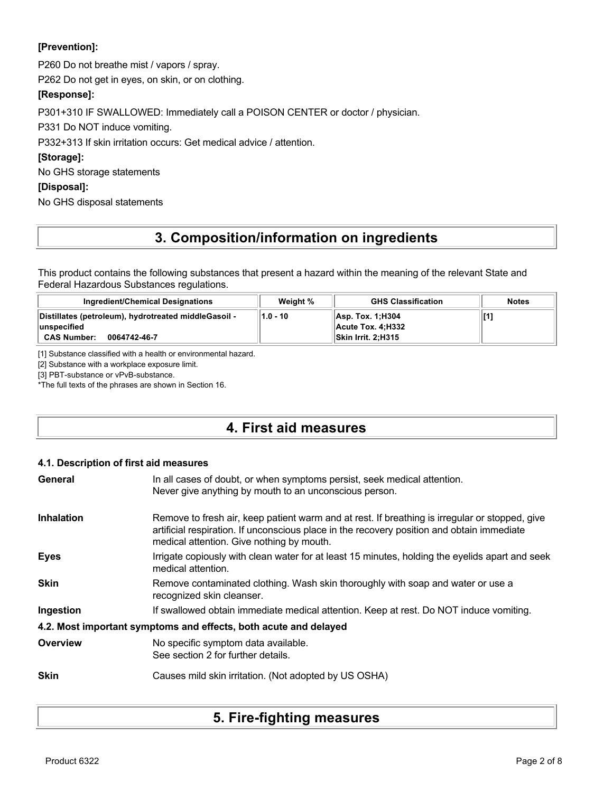## **[Prevention]:**

P260 Do not breathe mist / vapors / spray.

P262 Do not get in eyes, on skin, or on clothing.

## **[Response]:**

P301+310 IF SWALLOWED: Immediately call a POISON CENTER or doctor / physician.

P331 Do NOT induce vomiting.

P332+313 If skin irritation occurs: Get medical advice / attention.

## **[Storage]:**

No GHS storage statements

### **[Disposal]:**

No GHS disposal statements

# **3. Composition/information on ingredients**

This product contains the following substances that present a hazard within the meaning of the relevant State and Federal Hazardous Substances regulations.

| Ingredient/Chemical Designations                                                                            | Weight % | <b>GHS Classification</b>                                            | <b>Notes</b> |
|-------------------------------------------------------------------------------------------------------------|----------|----------------------------------------------------------------------|--------------|
| Distillates (petroleum), hydrotreated middleGasoil -<br>ˈlunspecified<br><b>CAS Number:</b><br>0064742-46-7 | 1.0 - 10 | Asp. Tox. 1:H304<br><b>∣ Acute Tox. 4:Н332</b><br>Skin Irrit. 2:H315 |              |

[1] Substance classified with a health or environmental hazard.

[2] Substance with a workplace exposure limit.

[3] PBT-substance or vPvB-substance.

\*The full texts of the phrases are shown in Section 16.

# **4. First aid measures**

### **4.1. Description of first aid measures**

| General           | In all cases of doubt, or when symptoms persist, seek medical attention.<br>Never give anything by mouth to an unconscious person.                                                                                                        |
|-------------------|-------------------------------------------------------------------------------------------------------------------------------------------------------------------------------------------------------------------------------------------|
| <b>Inhalation</b> | Remove to fresh air, keep patient warm and at rest. If breathing is irregular or stopped, give<br>artificial respiration. If unconscious place in the recovery position and obtain immediate<br>medical attention. Give nothing by mouth. |
| <b>Eyes</b>       | Irrigate copiously with clean water for at least 15 minutes, holding the eyelids apart and seek<br>medical attention.                                                                                                                     |
| Skin              | Remove contaminated clothing. Wash skin thoroughly with soap and water or use a<br>recognized skin cleanser.                                                                                                                              |
| Ingestion         | If swallowed obtain immediate medical attention. Keep at rest. Do NOT induce vomiting.                                                                                                                                                    |
|                   | 4.2. Most important symptoms and effects, both acute and delayed                                                                                                                                                                          |
| Overview          | No specific symptom data available.<br>See section 2 for further details.                                                                                                                                                                 |
| <b>Skin</b>       | Causes mild skin irritation. (Not adopted by US OSHA)                                                                                                                                                                                     |

# **5. Fire-fighting measures**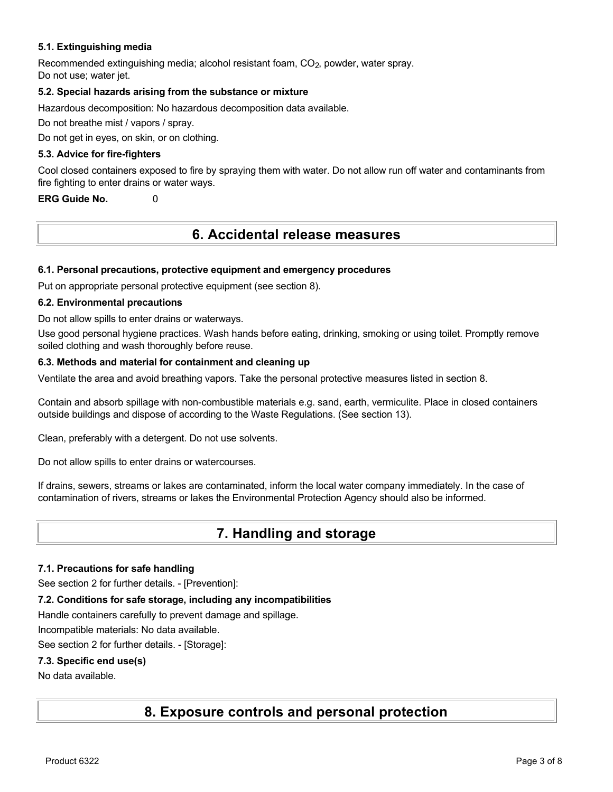### **5.1. Extinguishing media**

Recommended extinguishing media; alcohol resistant foam, CO<sub>2</sub>, powder, water spray. Do not use; water jet.

### **5.2. Special hazards arising from the substance or mixture**

Hazardous decomposition: No hazardous decomposition data available.

Do not breathe mist / vapors / spray.

Do not get in eyes, on skin, or on clothing.

### **5.3. Advice for fire-fighters**

Cool closed containers exposed to fire by spraying them with water. Do not allow run off water and contaminants from fire fighting to enter drains or water ways.

**ERG Guide No.** 0

# **6. Accidental release measures**

### **6.1. Personal precautions, protective equipment and emergency procedures**

Put on appropriate personal protective equipment (see section 8).

### **6.2. Environmental precautions**

Do not allow spills to enter drains or waterways.

Use good personal hygiene practices. Wash hands before eating, drinking, smoking or using toilet. Promptly remove soiled clothing and wash thoroughly before reuse.

### **6.3. Methods and material for containment and cleaning up**

Ventilate the area and avoid breathing vapors. Take the personal protective measures listed in section 8.

Contain and absorb spillage with non-combustible materials e.g. sand, earth, vermiculite. Place in closed containers outside buildings and dispose of according to the Waste Regulations. (See section 13).

Clean, preferably with a detergent. Do not use solvents.

Do not allow spills to enter drains or watercourses.

If drains, sewers, streams or lakes are contaminated, inform the local water company immediately. In the case of contamination of rivers, streams or lakes the Environmental Protection Agency should also be informed.

# **7. Handling and storage**

### **7.1. Precautions for safe handling**

See section 2 for further details. - [Prevention]:

## **7.2. Conditions for safe storage, including any incompatibilities**

Handle containers carefully to prevent damage and spillage.

Incompatible materials: No data available.

See section 2 for further details. - [Storage]:

## **7.3. Specific end use(s)**

No data available.

# **8. Exposure controls and personal protection**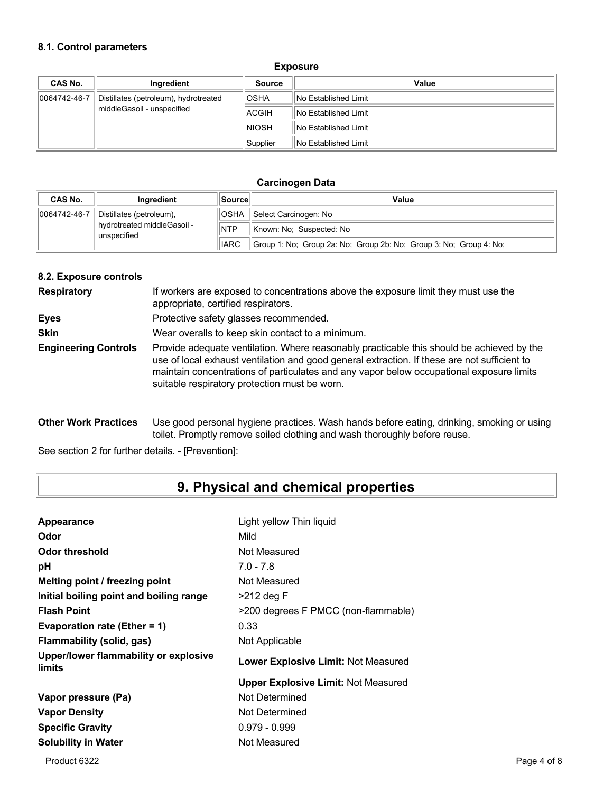### **8.1. Control parameters**

#### **Exposure**

| <b>CAS No.</b> | Ingredient                            | <b>Source</b> | Value                       |
|----------------|---------------------------------------|---------------|-----------------------------|
| 0064742-46-7   | Distillates (petroleum), hydrotreated | <b>OSHA</b>   | <b>No Established Limit</b> |
|                | middleGasoil - unspecified            | ACGIH         | <b>No Established Limit</b> |
|                |                                       | <b>NIOSH</b>  | <b>No Established Limit</b> |
|                |                                       | Supplier      | <b>No Established Limit</b> |

### **Carcinogen Data**

| CAS No.      | Inaredient                                    | ∣Source∣    | Value                                                              |
|--------------|-----------------------------------------------|-------------|--------------------------------------------------------------------|
| 0064742-46-7 | Distillates (petroleum),                      | <b>OSHA</b> | Select Carcinogen: No                                              |
|              | llhydrotreated middleGasoil -<br>lunspecified | <b>NTP</b>  | Known: No: Suspected: No                                           |
|              |                                               | <b>IARC</b> | Group 1: No: Group 2a: No: Group 2b: No: Group 3: No: Group 4: No: |

### **8.2. Exposure controls**

| <b>Respiratory</b>          | If workers are exposed to concentrations above the exposure limit they must use the<br>appropriate, certified respirators.                                                                                                                                                                                                             |
|-----------------------------|----------------------------------------------------------------------------------------------------------------------------------------------------------------------------------------------------------------------------------------------------------------------------------------------------------------------------------------|
| <b>Eyes</b>                 | Protective safety glasses recommended.                                                                                                                                                                                                                                                                                                 |
| <b>Skin</b>                 | Wear overalls to keep skin contact to a minimum.                                                                                                                                                                                                                                                                                       |
| <b>Engineering Controls</b> | Provide adequate ventilation. Where reasonably practicable this should be achieved by the<br>use of local exhaust ventilation and good general extraction. If these are not sufficient to<br>maintain concentrations of particulates and any vapor below occupational exposure limits<br>suitable respiratory protection must be worn. |

**Other Work Practices** Use good personal hygiene practices. Wash hands before eating, drinking, smoking or using toilet. Promptly remove soiled clothing and wash thoroughly before reuse.

See section 2 for further details. - [Prevention]:

# **9. Physical and chemical properties**

| Appearance                                      | Light yellow Thin liquid                   |
|-------------------------------------------------|--------------------------------------------|
| Odor                                            | Mild                                       |
| Odor threshold                                  | Not Measured                               |
| рH                                              | $7.0 - 7.8$                                |
| Melting point / freezing point                  | Not Measured                               |
| Initial boiling point and boiling range         | $>212$ deg F                               |
| <b>Flash Point</b>                              | >200 degrees F PMCC (non-flammable)        |
| Evaporation rate (Ether = 1)                    | 0.33                                       |
| Flammability (solid, gas)                       | Not Applicable                             |
| Upper/lower flammability or explosive<br>limits | Lower Explosive Limit: Not Measured        |
|                                                 | <b>Upper Explosive Limit: Not Measured</b> |
| Vapor pressure (Pa)                             | Not Determined                             |
| <b>Vapor Density</b>                            | Not Determined                             |
| <b>Specific Gravity</b>                         | $0.979 - 0.999$                            |
| <b>Solubility in Water</b>                      | Not Measured                               |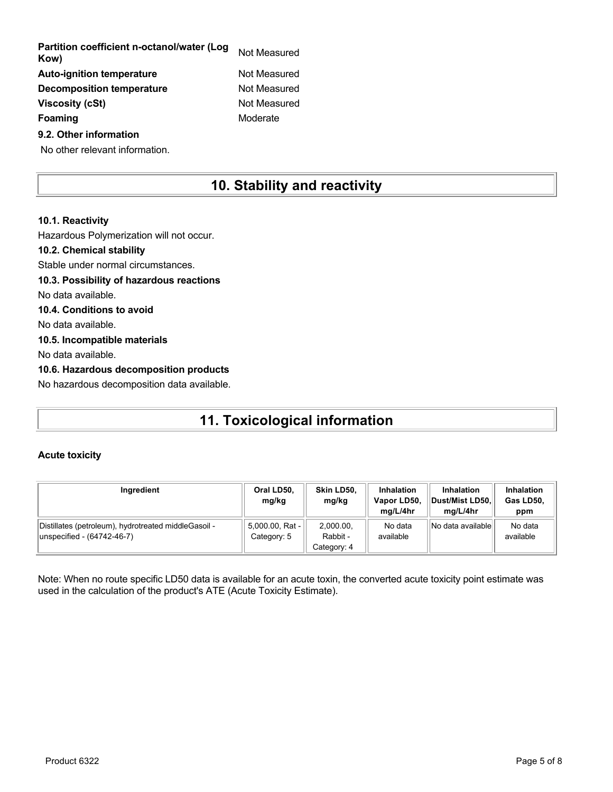| Partition coefficient n-octanol/water (Log<br>Kow) | Not Measured |
|----------------------------------------------------|--------------|
| <b>Auto-ignition temperature</b>                   | Not Measured |
| <b>Decomposition temperature</b>                   | Not Measured |
| <b>Viscosity (cSt)</b>                             | Not Measured |
| Foaming                                            | Moderate     |
| 9.2. Other information                             |              |

No other relevant information.

# **10. Stability and reactivity**

## **10.1. Reactivity** Hazardous Polymerization will not occur. **10.2. Chemical stability** Stable under normal circumstances. **10.3. Possibility of hazardous reactions** No data available. **10.4. Conditions to avoid** No data available. **10.5. Incompatible materials** No data available. **10.6. Hazardous decomposition products** No hazardous decomposition data available.

# **11. Toxicological information**

### **Acute toxicity**

| Ingredient                                                                         | Oral LD50.<br>mg/kg            | Skin LD50.<br>mg/kg                  | <b>Inhalation</b><br>Vapor LD50,<br>ma/L/4hr | <b>Inhalation</b><br>Dust/Mist LD50.<br>ma/L/4hr | <b>Inhalation</b><br>Gas LD50,<br>ppm |
|------------------------------------------------------------------------------------|--------------------------------|--------------------------------------|----------------------------------------------|--------------------------------------------------|---------------------------------------|
| Distillates (petroleum), hydrotreated middleGasoil -<br>unspecified - (64742-46-7) | 5,000.00, Rat -<br>Category: 5 | 2.000.00.<br>Rabbit -<br>Category: 4 | No data<br>available                         | No data available                                | No data<br>available                  |

Note: When no route specific LD50 data is available for an acute toxin, the converted acute toxicity point estimate was used in the calculation of the product's ATE (Acute Toxicity Estimate).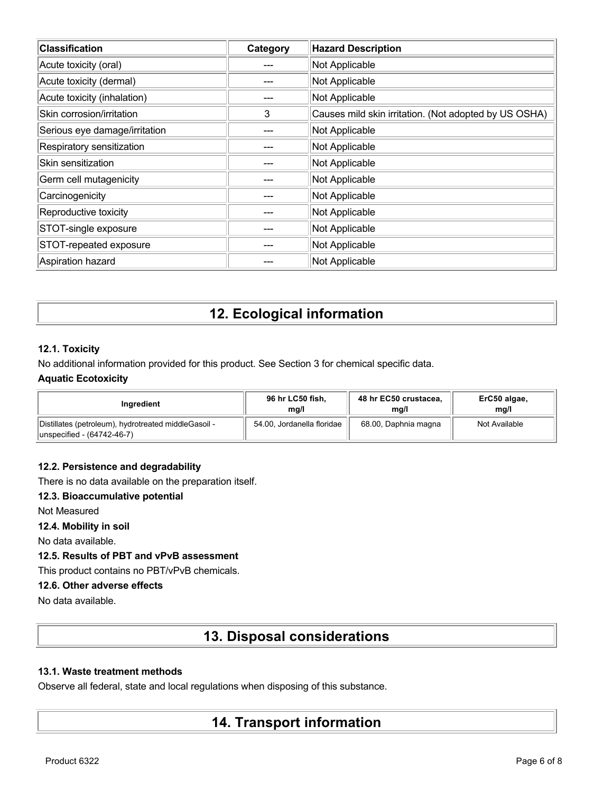| <b>Classification</b>         | Category | <b>Hazard Description</b>                             |
|-------------------------------|----------|-------------------------------------------------------|
| Acute toxicity (oral)         |          | Not Applicable                                        |
| Acute toxicity (dermal)       |          | Not Applicable                                        |
| Acute toxicity (inhalation)   |          | Not Applicable                                        |
| Skin corrosion/irritation     | 3        | Causes mild skin irritation. (Not adopted by US OSHA) |
| Serious eye damage/irritation |          | Not Applicable                                        |
| Respiratory sensitization     |          | Not Applicable                                        |
| Skin sensitization            |          | Not Applicable                                        |
| Germ cell mutagenicity        |          | Not Applicable                                        |
| Carcinogenicity               |          | Not Applicable                                        |
| Reproductive toxicity         |          | Not Applicable                                        |
| STOT-single exposure          |          | Not Applicable                                        |
| STOT-repeated exposure        |          | Not Applicable                                        |
| Aspiration hazard             |          | Not Applicable                                        |

# **12. Ecological information**

### **12.1. Toxicity**

No additional information provided for this product. See Section 3 for chemical specific data.

### **Aquatic Ecotoxicity**

| Inaredient                                                                         | 96 hr LC50 fish,           | 48 hr EC50 crustacea, | ErC50 algae,  |
|------------------------------------------------------------------------------------|----------------------------|-----------------------|---------------|
|                                                                                    | mg/l                       | mg/l                  | mq/l          |
| Distillates (petroleum), hydrotreated middleGasoil -<br>unspecified - (64742-46-7) | 54.00, Jordanella floridae | 68.00, Daphnia magna  | Not Available |

### **12.2. Persistence and degradability**

There is no data available on the preparation itself.

## **12.3. Bioaccumulative potential**

Not Measured

**12.4. Mobility in soil**

No data available.

## **12.5. Results of PBT and vPvB assessment**

This product contains no PBT/vPvB chemicals.

### **12.6. Other adverse effects**

No data available.

# **13. Disposal considerations**

### **13.1. Waste treatment methods**

Observe all federal, state and local regulations when disposing of this substance.

# **14. Transport information**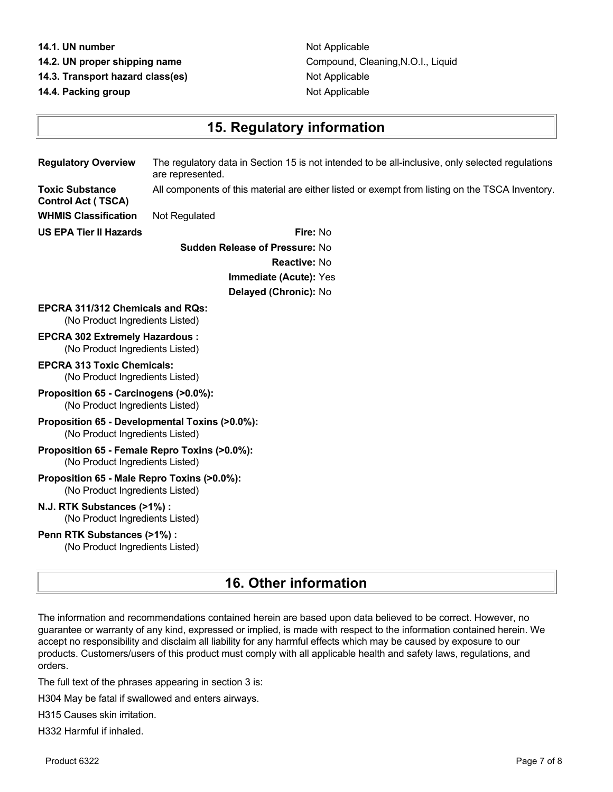#### **14.1. UN number** Not Applicable

- 
- **14.3. Transport hazard class(es)** Not Applicable

**14.4. Packing group Contract Contract Applicable Contract Contract Applicable** 

**14.2. UN proper shipping name** Compound, Cleaning,N.O.I., Liquid

## **15. Regulatory information**

**Regulatory Overview** The regulatory data in Section 15 is not intended to be all-inclusive, only selected regulations are represented. **Toxic Substance** All components of this material are either listed or exempt from listing on the TSCA Inventory.

**Control Act ( TSCA) WHMIS Classification** Not Regulated

**US EPA Tier II Hazards Fire:** No **Sudden Release of Pressure:** No **Reactive:** No **Immediate (Acute):** Yes **Delayed (Chronic):** No

#### **EPCRA 311/312 Chemicals and RQs:** (No Product Ingredients Listed)

- **EPCRA 302 Extremely Hazardous :** (No Product Ingredients Listed)
- **EPCRA 313 Toxic Chemicals:** (No Product Ingredients Listed)

### **Proposition 65 - Carcinogens (>0.0%):** (No Product Ingredients Listed)

#### **Proposition 65 - Developmental Toxins (>0.0%):** (No Product Ingredients Listed)

### **Proposition 65 - Female Repro Toxins (>0.0%):** (No Product Ingredients Listed)

#### **Proposition 65 - Male Repro Toxins (>0.0%):** (No Product Ingredients Listed)

#### **N.J. RTK Substances (>1%) :** (No Product Ingredients Listed)

### **Penn RTK Substances (>1%) :**

(No Product Ingredients Listed)

# **16. Other information**

The information and recommendations contained herein are based upon data believed to be correct. However, no guarantee or warranty of any kind, expressed or implied, is made with respect to the information contained herein. We accept no responsibility and disclaim all liability for any harmful effects which may be caused by exposure to our products. Customers/users of this product must comply with all applicable health and safety laws, regulations, and orders.

The full text of the phrases appearing in section 3 is:

H304 May be fatal if swallowed and enters airways.

H315 Causes skin irritation.

H332 Harmful if inhaled.